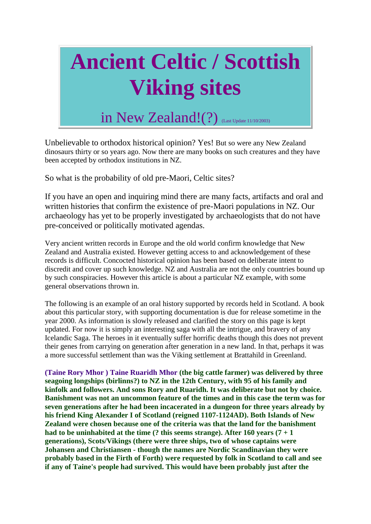# **Ancient Celtic / Scottish Viking sites**

## in New Zealand!(?) (Last Update 11/10/2003)

Unbelievable to orthodox historical opinion? Yes! But so were any New Zealand dinosaurs thirty or so years ago. Now there are many books on such creatures and they have been accepted by orthodox institutions in NZ.

So what is the probability of old pre-Maori, Celtic sites?

If you have an open and inquiring mind there are many facts, artifacts and oral and written histories that confirm the existence of pre-Maori populations in NZ. Our archaeology has yet to be properly investigated by archaeologists that do not have pre-conceived or politically motivated agendas.

Very ancient written records in Europe and the old world confirm knowledge that New Zealand and Australia existed. However getting access to and acknowledgement of these records is difficult. Concocted historical opinion has been based on deliberate intent to discredit and cover up such knowledge. NZ and Australia are not the only countries bound up by such conspiracies. However this article is about a particular NZ example, with some general observations thrown in.

The following is an example of an oral history supported by records held in Scotland. A book about this particular story, with supporting documentation is due for release sometime in the year 2000. As information is slowly released and clarified the story on this page is kept updated. For now it is simply an interesting saga with all the intrigue, and bravery of any Icelandic Saga. The heroes in it eventually suffer horrific deaths though this does not prevent their genes from carrying on generation after generation in a new land. In that, perhaps it was a more successful settlement than was the Viking settlement at Brattahild in Greenland.

**(Taine Rory Mhor ) Taine Ruaridh Mhor (the big cattle farmer) was delivered by three seagoing longships (birlinns?) to NZ in the 12th Century, with 95 of his family and kinfolk and followers. And sons Rory and Ruaridh. It was deliberate but not by choice. Banishment was not an uncommon feature of the times and in this case the term was for seven generations after he had been incacerated in a dungeon for three years already by his friend King Alexander I of Scotland (reigned 1107-1124AD). Both Islands of New Zealand were chosen because one of the criteria was that the land for the banishment had to be uninhabited at the time (? this seems strange). After 160 years (7 + 1 generations), Scots/Vikings (there were three ships, two of whose captains were Johansen and Christiansen - though the names are Nordic Scandinavian they were probably based in the Firth of Forth) were requested by folk in Scotland to call and see if any of Taine's people had survived. This would have been probably just after the**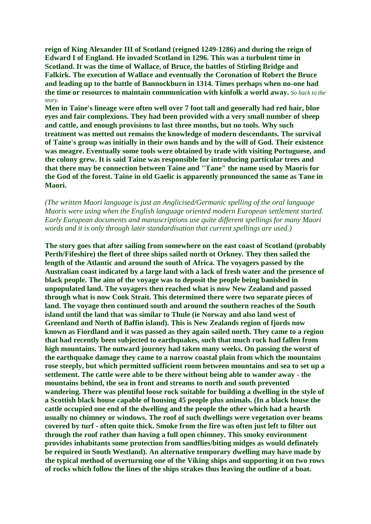**reign of King Alexander III of Scotland (reigned 1249-1286) and during the reign of Edward I of England. He invaded Scotland in 1296. This was a turbulent time in Scotland. It was the time of Wallace, of Bruce, the battles of Stirling Bridge and Falkirk. The execution of Wallace and eventually the Coronation of Robert the Bruce and leading up to the battle of Bannockburn in 1314. Times perhaps when no-one had the time or resources to maintain communication with kinfolk a world away.** *So back to the story.*

**Men in Taine's lineage were often well over 7 foot tall and generally had red hair, blue eyes and fair complexions. They had been provided with a very small number of sheep and cattle, and enough provisions to last three months, but no tools. Why such treatment was metted out remains the knowledge of modern descendants. The survival of Taine's group was initially in their own hands and by the will of God. Their existence was meagre. Eventually some tools were obtained by trade with visiting Portuguese, and the colony grew. It is said Taine was responsible for introducing particular trees and that there may be connection between Taine and "Tane" the name used by Maoris for the God of the forest. Taine in old Gaelic is apparently pronounced the same as Tane in Maori.** 

*(The written Maori language is just an Anglicised/Germanic spelling of the oral language Maoris were using when the English language oriented modern European settlement started. Early European documents and manuscriptions use quite different spellings for many Maori words and it is only through later standardisation that current spellings are used.)* 

**The story goes that after sailing from somewhere on the east coast of Scotland (probably Perth/Fifeshire) the fleet of three ships sailed north ot Orkney. They then sailed the length of the Atlantic and around the south of Africa. The voyagers passed by the Australian coast indicated by a large land with a lack of fresh water and the presence of black people. The aim of the voyage was to deposit the people being banished in unpopulated land. The voyagers then reached what is now New Zealand and passed through what is now Cook Strait. This determined there were two separate pieces of land. The voyage then continued south and around the southern reaches of the South island until the land that was similar to Thule (ie Norway and also land west of Greenland and North of Baffin island). This is New Zealands region of fjords now known as Fiordland and it was passed as they again sailed north. They came to a region that had recently been subjected to earthquakes, such that much rock had fallen from high mountains. The outward journey had taken many weeks. On passing the worst of the earthquake damage they came to a narrow coastal plain from which the mountains rose steeply, but which permitted sufficient room between mountains and sea to set up a settlement. The cattle were able to be there without being able to wander away - the mountains behind, the sea in front and streams to north and south prevented wandering. There was plentiful loose rock suitable for building a dwelling in the style of a Scottish black house capable of housing 45 people plus animals. (In a black house the cattle occupied one end of the dwelling and the people the other which had a hearth usually no chimney or windows. The roof of such dwellings were vegetation over beams covered by turf - often quite thick. Smoke from the fire was often just left to filter out through the roof rather than having a full open chimney. This smoky environment provides inhabitants some protection from sandflies/biting midges as would definately be required in South Westland). An alternative temporary dwelling may have made by the typical method of overturning one of the Viking ships and supporting it on two rows of rocks which follow the lines of the ships strakes thus leaving the outline of a boat.**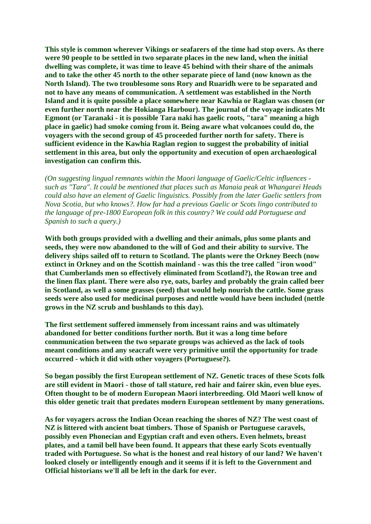**This style is common wherever Vikings or seafarers of the time had stop overs. As there were 90 people to be settled in two separate places in the new land, when the initial dwelling was complete, it was time to leave 45 behind with their share of the animals and to take the other 45 north to the other separate piece of land (now known as the North Island). The two troublesome sons Rory and Ruaridh were to be separated and not to have any means of communication. A settlement was established in the North Island and it is quite possible a place somewhere near Kawhia or Raglan was chosen (or even further north near the Hokianga Harbour). The journal of the voyage indicates Mt Egmont (or Taranaki - it is possible Tara naki has gaelic roots, "tara" meaning a high place in gaelic) had smoke coming from it. Being aware what volcanoes could do, the voyagers with the second group of 45 proceeded further north for safety. There is sufficient evidence in the Kawhia Raglan region to suggest the probability of initial settlement in this area, but only the opportunity and execution of open archaeological investigation can confirm this.** 

*(On suggesting lingual remnants within the Maori language of Gaelic/Celtic influences such as "Tara". It could be mentioned that places such as Manaia peak at Whangarei Heads could also have an element of Gaelic linguistics. Possibly from the later Gaelic settlers from Nova Scotia, but who knows?. How far had a previous Gaelic or Scots lingo contributed to the language of pre-1800 European folk in this country? We could add Portuguese and Spanish to such a query.)* 

**With both groups provided with a dwelling and their animals, plus some plants and seeds, they were now abandoned to the will of God and their ability to survive. The delivery ships sailed off to return to Scotland. The plants were the Orkney Beech (now extinct in Orkney and on the Scottish mainland - was this the tree called "iron wood" that Cumberlands men so effectively eliminated from Scotland?), the Rowan tree and the linen flax plant. There were also rye, oats, barley and probably the grain called beer in Scotland, as well a some grasses (seed) that would help nourish the cattle. Some grass seeds were also used for medicinal purposes and nettle would have been included (nettle grows in the NZ scrub and bushlands to this day).**

**The first settlement suffered immensely from incessant rains and was ultimately abandoned for better conditions further north. But it was a long time before communication between the two separate groups was achieved as the lack of tools meant conditions and any seacraft were very primitive until the opportunity for trade occurred - which it did with other voyagers (Portuguese?).**

**So began possibly the first European settlement of NZ. Genetic traces of these Scots folk are still evident in Maori - those of tall stature, red hair and fairer skin, even blue eyes. Often thought to be of modern European Maori interbreeding. Old Maori well know of this older genetic trait that predates modern European settlement by many generations.**

**As for voyagers across the Indian Ocean reaching the shores of NZ? The west coast of NZ is littered with ancient boat timbers. Those of Spanish or Portuguese caravels, possibly even Phonecian and Egyptian craft and even others. Even helmets, breast plates, and a tamil bell have been found. It appears that these early Scots eventually traded with Portuguese. So what is the honest and real history of our land? We haven't looked closely or intelligently enough and it seems if it is left to the Government and Official historians we'll all be left in the dark for ever.**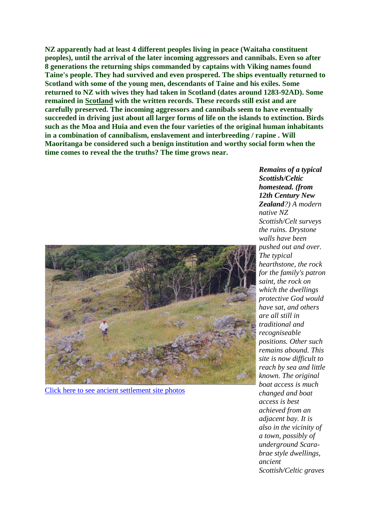**NZ apparently had at least 4 different peoples living in peace (Waitaha constituent peoples), until the arrival of the later incoming aggressors and cannibals. Even so after 8 generations the returning ships commanded by captains with Viking names found Taine's people. They had survived and even prospered. The ships eventually returned to Scotland with some of the young men, descendants of Taine and his exiles. Some returned to NZ with wives they had taken in Scotland (dates around 1283-92AD). Some remained in [Scotland](http://www.kilts.co.nz/macfarlane.htm) with the written records. These records still exist and are carefully preserved. The incoming aggressors and cannibals seem to have eventually succeeded in driving just about all larger forms of life on the islands to extinction. Birds such as the Moa and Huia and even the four varieties of the original human inhabitants in a combination of cannibalism, enslavement and interbreeding / rapine . Will Maoritanga be considered such a benign institution and worthy social form when the time comes to reveal the the truths? The time grows near.** 



[Click here to see ancient settlement site photos](http://www.kilts.co.nz/ancient_settlement1.htm)

*Remains of a typical Scottish/Celtic homestead. (from 12th Century New Zealand?) A modern native NZ Scottish/Celt surveys the ruins. Drystone walls have been pushed out and over. The typical hearthstone, the rock for the family's patron saint, the rock on which the dwellings protective God would have sat, and others are all still in traditional and recogniseable positions. Other such remains abound. This site is now difficult to reach by sea and little known. The original boat access is much changed and boat access is best achieved from an adjacent bay. It is also in the vicinity of a town, possibly of underground Scarabrae style dwellings, ancient Scottish/Celtic graves*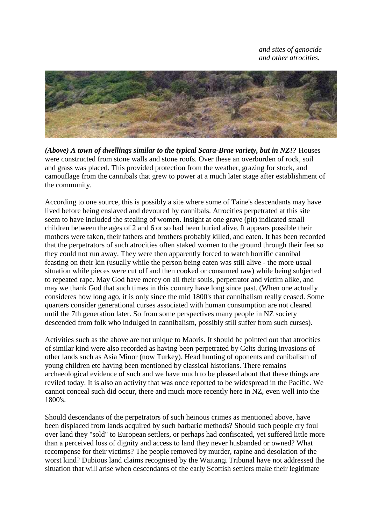*and sites of genocide and other atrocities.* 



*(Above) A town of dwellings similar to the typical Scara-Brae variety, but in NZ!?* Houses were constructed from stone walls and stone roofs. Over these an overburden of rock, soil and grass was placed. This provided protection from the weather, grazing for stock, and camouflage from the cannibals that grew to power at a much later stage after establishment of the community.

According to one source, this is possibly a site where some of Taine's descendants may have lived before being enslaved and devoured by cannibals. Atrocities perpetrated at this site seem to have included the stealing of women. Insight at one grave (pit) indicated small children between the ages of 2 and 6 or so had been buried alive. It appears possible their mothers were taken, their fathers and brothers probably killed, and eaten. It has been recorded that the perpetrators of such atrocities often staked women to the ground through their feet so they could not run away. They were then apparently forced to watch horrific cannibal feasting on their kin (usually while the person being eaten was still alive - the more usual situation while pieces were cut off and then cooked or consumed raw) while being subjected to repeated rape. May God have mercy on all their souls, perpetrator and victim alike, and may we thank God that such times in this country have long since past. (When one actually consideres how long ago, it is only since the mid 1800's that cannibalism really ceased. Some quarters consider generational curses associated with human consumption are not cleared until the 7th generation later. So from some perspectives many people in NZ society descended from folk who indulged in cannibalism, possibly still suffer from such curses).

Activities such as the above are not unique to Maoris. It should be pointed out that atrocities of similar kind were also recorded as having been perpetrated by Celts during invasions of other lands such as Asia Minor (now Turkey). Head hunting of oponents and canibalism of young children etc having been mentioned by classical historians. There remains archaeological evidence of such and we have much to be pleased about that these things are reviled today. It is also an activity that was once reported to be widespread in the Pacific. We cannot conceal such did occur, there and much more recently here in NZ, even well into the 1800's.

Should descendants of the perpetrators of such heinous crimes as mentioned above, have been displaced from lands acquired by such barbaric methods? Should such people cry foul over land they "sold" to European settlers, or perhaps had confiscated, yet suffered little more than a perceived loss of dignity and access to land they never husbanded or owned? What recompense for their victims? The people removed by murder, rapine and desolation of the worst kind? Dubious land claims recognised by the Waitangi Tribunal have not addressed the situation that will arise when descendants of the early Scottish settlers make their legitimate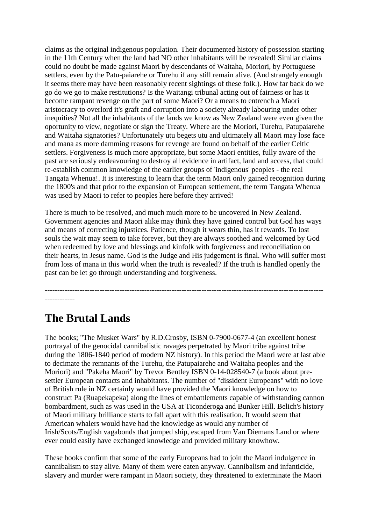claims as the original indigenous population. Their documented history of possession starting in the 11th Century when the land had NO other inhabitants will be revealed! Similar claims could no doubt be made against Maori by descendants of Waitaha, Moriori, by Portuguese settlers, even by the Patu-paiarehe or Turehu if any still remain alive. (And strangely enough it seems there may have been reasonably recent sightings of these folk.). How far back do we go do we go to make restitutions? Is the Waitangi tribunal acting out of fairness or has it become rampant revenge on the part of some Maori? Or a means to entrench a Maori aristocracy to overlord it's graft and corruption into a society already labouring under other inequities? Not all the inhabitants of the lands we know as New Zealand were even given the oportunity to view, negotiate or sign the Treaty. Where are the Moriori, Turehu, Patupaiarehe and Waitaha signatories? Unfortunately utu begets utu and ultimately all Maori may lose face and mana as more damming reasons for revenge are found on behalf of the earlier Celtic settlers. Forgiveness is much more appropriate, but some Maori entities, fully aware of the past are seriously endeavouring to destroy all evidence in artifact, land and access, that could re-establish common knowledge of the earlier groups of 'indigenous' peoples - the real Tangata Whenua!. It is interesting to learn that the term Maori only gained recognition during the 1800's and that prior to the expansion of European settlement, the term Tangata Whenua was used by Maori to refer to peoples here before they arrived!

There is much to be resolved, and much much more to be uncovered in New Zealand. Government agencies and Maori alike may think they have gained control but God has ways and means of correcting injustices. Patience, though it wears thin, has it rewards. To lost souls the wait may seem to take forever, but they are always soothed and welcomed by God when redeemed by love and blessings and kinfolk with forgiveness and reconciliation on their hearts, in Jesus name. God is the Judge and His judgement is final. Who will suffer most from loss of mana in this world when the truth is revealed? If the truth is handled openly the past can be let go through understanding and forgiveness.

---------------------------------------------------------------------------------------------------------------- ------------

### **The Brutal Lands**

The books; "The Musket Wars" by R.D.Crosby, ISBN 0-7900-0677-4 (an excellent honest portrayal of the genocidal cannibalistic ravages perpetrated by Maori tribe against tribe during the 1806-1840 period of modern NZ history). In this period the Maori were at last able to decimate the remnants of the Turehu, the Patupaiarehe and Waitaha peoples and the Moriori) and "Pakeha Maori" by Trevor Bentley ISBN 0-14-028540-7 (a book about presettler European contacts and inhabitants. The number of "dissident Europeans" with no love of British rule in NZ certainly would have provided the Maori knowledge on how to construct Pa (Ruapekapeka) along the lines of embattlements capable of withstanding cannon bombardment, such as was used in the USA at Ticonderoga and Bunker Hill. Belich's history of Maori military brilliance starts to fall apart with this realisation. It would seem that American whalers would have had the knowledge as would any number of Irish/Scots/English vagabonds that jumped ship, escaped from Van Diemans Land or where ever could easily have exchanged knowledge and provided military knowhow.

These books confirm that some of the early Europeans had to join the Maori indulgence in cannibalism to stay alive. Many of them were eaten anyway. Cannibalism and infanticide, slavery and murder were rampant in Maori society, they threatened to exterminate the Maori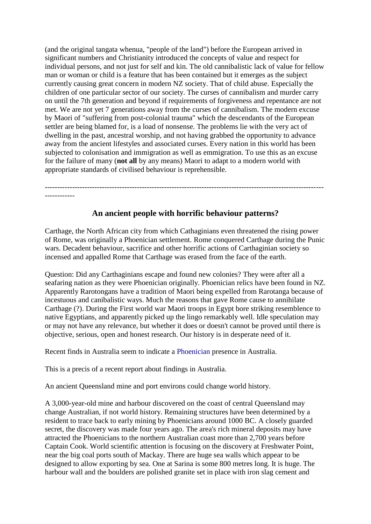(and the original tangata whenua, "people of the land") before the European arrived in significant numbers and Christianity introduced the concepts of value and respect for individual persons, and not just for self and kin. The old cannibalistic lack of value for fellow man or woman or child is a feature that has been contained but it emerges as the subject currently causing great concern in modern NZ society. That of child abuse. Especially the children of one particular sector of our society. The curses of cannibalism and murder carry on until the 7th generation and beyond if requirements of forgiveness and repentance are not met. We are not yet 7 generations away from the curses of cannibalism. The modern excuse by Maori of "suffering from post-colonial trauma" which the descendants of the European settler are being blamed for, is a load of nonsense. The problems lie with the very act of dwelling in the past, ancestral worship, and not having grabbed the opportunity to advance away from the ancient lifestyles and associated curses. Every nation in this world has been subjected to colonisation and immigration as well as emmigration. To use this as an excuse for the failure of many (**not all** by any means) Maori to adapt to a modern world with appropriate standards of civilised behaviour is reprehensible.

----------------------------------------------------------------------------------------------------------------

#### ------------

#### **An ancient people with horrific behaviour patterns?**

Carthage, the North African city from which Cathaginians even threatened the rising power of Rome, was originally a Phoenician settlement. Rome conquered Carthage during the Punic wars. Decadent behaviour, sacrifice and other horrific actions of Carthaginian society so incensed and appalled Rome that Carthage was erased from the face of the earth.

Question: Did any Carthaginians escape and found new colonies? They were after all a seafaring nation as they were Phoenician originally. Phoenician relics have been found in NZ. Apparently Rarotongans have a tradition of Maori being expelled from Rarotanga because of incestuous and canibalistic ways. Much the reasons that gave Rome cause to annihilate Carthage (?). During the First world war Maori troops in Egypt bore striking resemblence to native Egyptians, and apparently picked up the lingo remarkably well. Idle speculation may or may not have any relevance, but whether it does or doesn't cannot be proved until there is objective, serious, open and honest research. Our history is in desperate need of it.

Recent finds in Australia seem to indicate a Phoenician presence in Australia.

This is a precis of a recent report about findings in Australia.

An ancient Queensland mine and port environs could change world history.

A 3,000-year-old mine and harbour discovered on the coast of central Queensland may change Australian, if not world history. Remaining structures have been determined by a resident to trace back to early mining by Phoenicians around 1000 BC. A closely guarded secret, the discovery was made four years ago. The area's rich mineral deposits may have attracted the Phoenicians to the northern Australian coast more than 2,700 years before Captain Cook. World scientific attention is focusing on the discovery at Freshwater Point, near the big coal ports south of Mackay. There are huge sea walls which appear to be designed to allow exporting by sea. One at Sarina is some 800 metres long. It is huge. The harbour wall and the boulders are polished granite set in place with iron slag cement and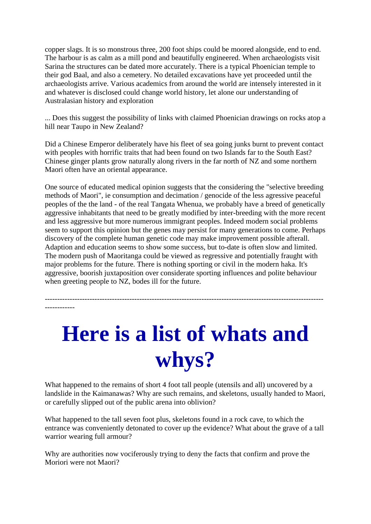copper slags. It is so monstrous three, 200 foot ships could be moored alongside, end to end. The harbour is as calm as a mill pond and beautifully engineered. When archaeologists visit Sarina the structures can be dated more accurately. There is a typical Phoenician temple to their god Baal, and also a cemetery. No detailed excavations have yet proceeded until the archaeologists arrive. Various academics from around the world are intensely interested in it and whatever is disclosed could change world history, let alone our understanding of Australasian history and exploration

... Does this suggest the possibility of links with claimed Phoenician drawings on rocks atop a hill near Taupo in New Zealand?

Did a Chinese Emperor deliberately have his fleet of sea going junks burnt to prevent contact with peoples with horrific traits that had been found on two Islands far to the South East? Chinese ginger plants grow naturally along rivers in the far north of NZ and some northern Maori often have an oriental appearance.

One source of educated medical opinion suggests that the considering the "selective breeding methods of Maori", ie consumption and decimation / genocide of the less agressive peaceful peoples of the the land - of the real Tangata Whenua, we probably have a breed of genetically aggressive inhabitants that need to be greatly modified by inter-breeding with the more recent and less aggressive but more numerous immigrant peoples. Indeed modern social problems seem to support this opinion but the genes may persist for many generations to come. Perhaps discovery of the complete human genetic code may make improvement possible afterall. Adaption and education seems to show some success, but to-date is often slow and limited. The modern push of Maoritanga could be viewed as regressive and potentially fraught with major problems for the future. There is nothing sporting or civil in the modern haka. It's aggressive, boorish juxtaposition over considerate sporting influences and polite behaviour when greeting people to NZ, bodes ill for the future.

**Here is a list of whats and whys?**

----------------------------------------------------------------------------------------------------------------

------------

What happened to the remains of short 4 foot tall people (utensils and all) uncovered by a landslide in the Kaimanawas? Why are such remains, and skeletons, usually handed to Maori, or carefully slipped out of the public arena into oblivion?

What happened to the tall seven foot plus, skeletons found in a rock cave, to which the entrance was conveniently detonated to cover up the evidence? What about the grave of a tall warrior wearing full armour?

Why are authorities now vociferously trying to deny the facts that confirm and prove the Moriori were not Maori?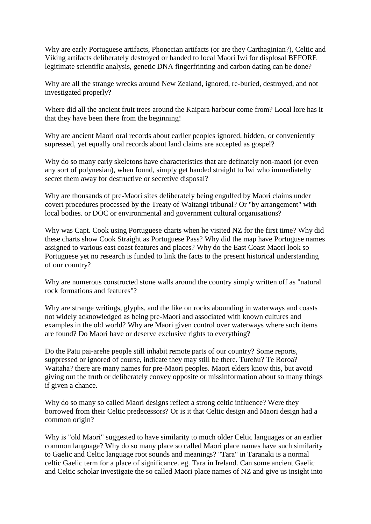Why are early Portuguese artifacts, Phonecian artifacts (or are they Carthaginian?), Celtic and Viking artifacts deliberately destroyed or handed to local Maori Iwi for displosal BEFORE legitimate scientific analysis, genetic DNA fingerfrinting and carbon dating can be done?

Why are all the strange wrecks around New Zealand, ignored, re-buried, destroyed, and not investigated properly?

Where did all the ancient fruit trees around the Kaipara harbour come from? Local lore has it that they have been there from the beginning!

Why are ancient Maori oral records about earlier peoples ignored, hidden, or conveniently supressed, yet equally oral records about land claims are accepted as gospel?

Why do so many early skeletons have characteristics that are definately non-maori (or even any sort of polynesian), when found, simply get handed straight to Iwi who immediatelty secret them away for destructive or secretive disposal?

Why are thousands of pre-Maori sites deliberately being engulfed by Maori claims under covert procedures processed by the Treaty of Waitangi tribunal? Or "by arrangement" with local bodies. or DOC or environmental and government cultural organisations?

Why was Capt. Cook using Portuguese charts when he visited NZ for the first time? Why did these charts show Cook Straight as Portuguese Pass? Why did the map have Portuguse names assigned to various east coast features and places? Why do the East Coast Maori look so Portuguese yet no research is funded to link the facts to the present historical understanding of our country?

Why are numerous constructed stone walls around the country simply written off as "natural rock formations and features"?

Why are strange writings, glyphs, and the like on rocks abounding in waterways and coasts not widely acknowledged as being pre-Maori and associated with known cultures and examples in the old world? Why are Maori given control over waterways where such items are found? Do Maori have or deserve exclusive rights to everything?

Do the Patu pai-arehe people still inhabit remote parts of our country? Some reports, suppressed or ignored of course, indicate they may still be there. Turehu? Te Roroa? Waitaha? there are many names for pre-Maori peoples. Maori elders know this, but avoid giving out the truth or deliberately convey opposite or missinformation about so many things if given a chance.

Why do so many so called Maori designs reflect a strong celtic influence? Were they borrowed from their Celtic predecessors? Or is it that Celtic design and Maori design had a common origin?

Why is "old Maori" suggested to have similarity to much older Celtic languages or an earlier common language? Why do so many place so called Maori place names have such similarity to Gaelic and Celtic language root sounds and meanings? "Tara" in Taranaki is a normal celtic Gaelic term for a place of significance. eg. Tara in Ireland. Can some ancient Gaelic and Celtic scholar investigate the so called Maori place names of NZ and give us insight into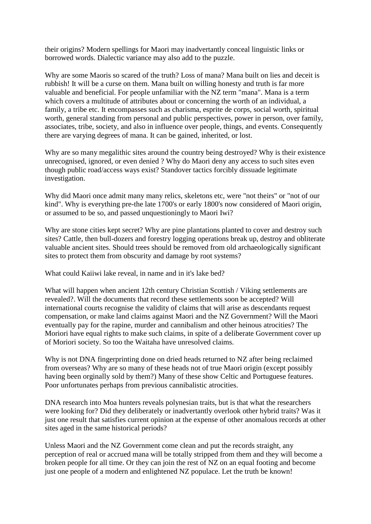their origins? Modern spellings for Maori may inadvertantly conceal linguistic links or borrowed words. Dialectic variance may also add to the puzzle.

Why are some Maoris so scared of the truth? Loss of mana? Mana built on lies and deceit is rubbish! It will be a curse on them. Mana built on willing honesty and truth is far more valuable and beneficial. For people unfamiliar with the NZ term "mana". Mana is a term which covers a multitude of attributes about or concerning the worth of an individual, a family, a tribe etc. It encompasses such as charisma, esprite de corps, social worth, spiritual worth, general standing from personal and public perspectives, power in person, over family, associates, tribe, society, and also in influence over people, things, and events. Consequently there are varying degrees of mana. It can be gained, inherited, or lost.

Why are so many megalithic sites around the country being destroyed? Why is their existence unrecognised, ignored, or even denied ? Why do Maori deny any access to such sites even though public road/access ways exist? Standover tactics forcibly dissuade legitimate investigation.

Why did Maori once admit many many relics, skeletons etc, were "not theirs" or "not of our kind". Why is everything pre-the late 1700's or early 1800's now considered of Maori origin, or assumed to be so, and passed unquestioningly to Maori Iwi?

Why are stone cities kept secret? Why are pine plantations planted to cover and destroy such sites? Cattle, then bull-dozers and forestry logging operations break up, destroy and obliterate valuable ancient sites. Should trees should be removed from old archaeologically significant sites to protect them from obscurity and damage by root systems?

What could Kaiiwi lake reveal, in name and in it's lake bed?

What will happen when ancient 12th century Christian Scottish / Viking settlements are revealed?. Will the documents that record these settlements soon be accepted? Will international courts recognise the validity of claims that will arise as descendants request compensation, or make land claims against Maori and the NZ Government? Will the Maori eventually pay for the rapine, murder and cannibalism and other heinous atrocities? The Moriori have equal rights to make such claims, in spite of a deliberate Government cover up of Moriori society. So too the Waitaha have unresolved claims.

Why is not DNA fingerprinting done on dried heads returned to NZ after being reclaimed from overseas? Why are so many of these heads not of true Maori origin (except possibly having been orginally sold by them?) Many of these show Celtic and Portuguese features. Poor unfortunates perhaps from previous cannibalistic atrocities.

DNA research into Moa hunters reveals polynesian traits, but is that what the researchers were looking for? Did they deliberately or inadvertantly overlook other hybrid traits? Was it just one result that satisfies current opinion at the expense of other anomalous records at other sites aged in the same historical periods?

Unless Maori and the NZ Government come clean and put the records straight, any perception of real or accrued mana will be totally stripped from them and they will become a broken people for all time. Or they can join the rest of NZ on an equal footing and become just one people of a modern and enlightened NZ populace. Let the truth be known!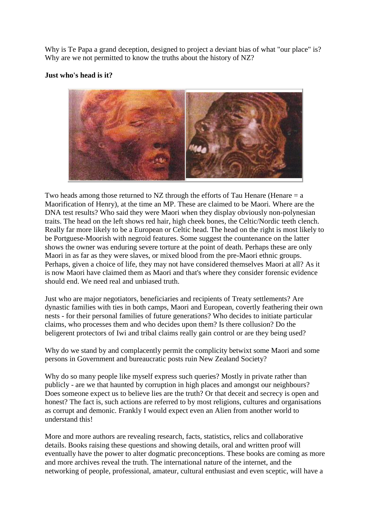Why is Te Papa a grand deception, designed to project a deviant bias of what "our place" is? Why are we not permitted to know the truths about the history of NZ?

#### **Just who's head is it?**



Two heads among those returned to NZ through the efforts of Tau Henare (Henare  $= a$ Maorification of Henry), at the time an MP. These are claimed to be Maori. Where are the DNA test results? Who said they were Maori when they display obviously non-polynesian traits. The head on the left shows red hair, high cheek bones, the Celtic/Nordic teeth clench. Really far more likely to be a European or Celtic head. The head on the right is most likely to be Portguese-Moorish with negroid features. Some suggest the countenance on the latter shows the owner was enduring severe torture at the point of death. Perhaps these are only Maori in as far as they were slaves, or mixed blood from the pre-Maori ethnic groups. Perhaps, given a choice of life, they may not have considered themselves Maori at all? As it is now Maori have claimed them as Maori and that's where they consider forensic evidence should end. We need real and unbiased truth.

Just who are major negotiators, beneficiaries and recipients of Treaty settlements? Are dynastic families with ties in both camps, Maori and European, covertly feathering their own nests - for their personal families of future generations? Who decides to initiate particular claims, who processes them and who decides upon them? Is there collusion? Do the beligerent protectors of Iwi and tribal claims really gain control or are they being used?

Why do we stand by and complacently permit the complicity betwixt some Maori and some persons in Government and bureaucratic posts ruin New Zealand Society?

Why do so many people like myself express such queries? Mostly in private rather than publicly - are we that haunted by corruption in high places and amongst our neighbours? Does someone expect us to believe lies are the truth? Or that deceit and secrecy is open and honest? The fact is, such actions are referred to by most religions, cultures and organisations as corrupt and demonic. Frankly I would expect even an Alien from another world to understand this!

More and more authors are revealing research, facts, statistics, relics and collaborative details. Books raising these questions and showing details, oral and written proof will eventually have the power to alter dogmatic preconceptions. These books are coming as more and more archives reveal the truth. The international nature of the internet, and the networking of people, professional, amateur, cultural enthusiast and even sceptic, will have a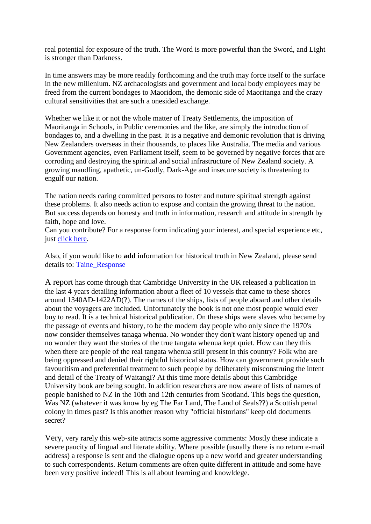real potential for exposure of the truth. The Word is more powerful than the Sword, and Light is stronger than Darkness.

In time answers may be more readily forthcoming and the truth may force itself to the surface in the new millenium. NZ archaeologists and government and local body employees may be freed from the current bondages to Maoridom, the demonic side of Maoritanga and the crazy cultural sensitivities that are such a onesided exchange.

Whether we like it or not the whole matter of Treaty Settlements, the imposition of Maoritanga in Schools, in Public ceremonies and the like, are simply the introduction of bondages to, and a dwelling in the past. It is a negative and demonic revolution that is driving New Zealanders overseas in their thousands, to places like Australia. The media and various Government agencies, even Parliament itself, seem to be governed by negative forces that are corroding and destroying the spiritual and social infrastructure of New Zealand society. A growing maudling, apathetic, un-Godly, Dark-Age and insecure society is threatening to engulf our nation.

The nation needs caring committed persons to foster and nuture spiritual strength against these problems. It also needs action to expose and contain the growing threat to the nation. But success depends on honesty and truth in information, research and attitude in strength by faith, hope and love.

Can you contribute? For a response form indicating your interest, and special experience etc, just [click here.](http://www.kilts.co.nz/PLEASE.HTM)

Also, if you would like to **add** information for historical truth in New Zealand, please send details to: [Taine\\_Response](http://www.kilts.co.nz/mitmhor_response.htm) 

A report has come through that Cambridge University in the UK released a publication in the last 4 years detailing information about a fleet of 10 vessels that came to these shores around 1340AD-1422AD(?). The names of the ships, lists of people aboard and other details about the voyagers are included. Unfortunately the book is not one most people would ever buy to read. It is a technical historical publication. On these ships were slaves who became by the passage of events and history, to be the modern day people who only since the 1970's now consider themselves tanaga whenua. No wonder they don't want history opened up and no wonder they want the stories of the true tangata whenua kept quiet. How can they this when there are people of the real tangata whenua still present in this country? Folk who are being oppressed and denied their rightful historical status. How can government provide such favouritism and preferential treatment to such people by deliberately misconstruing the intent and detail of the Treaty of Waitangi? At this time more details about this Cambridge University book are being sought. In addition researchers are now aware of lists of names of people banished to NZ in the 10th and 12th centuries from Scotland. This begs the question, Was NZ (whatever it was know by eg The Far Land, The Land of Seals??) a Scottish penal colony in times past? Is this another reason why "official historians" keep old documents secret?

Very, very rarely this web-site attracts some aggressive comments: Mostly these indicate a severe paucity of lingual and literate ability. Where possible (usually there is no return e-mail address) a response is sent and the dialogue opens up a new world and greater understanding to such correspondents. Return comments are often quite different in attitude and some have been very positive indeed! This is all about learning and knowldege.